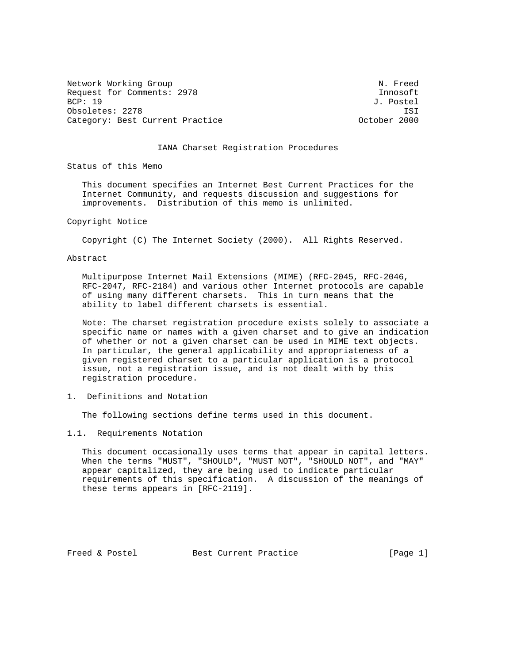Network Working Group Network Working Group Request for Comments: 2978 Innosoft<br>BCP: 19 J. Postel Obsoletes: 2278 ISI Category: Best Current Practice

J. Postel

# IANA Charset Registration Procedures

Status of this Memo

 This document specifies an Internet Best Current Practices for the Internet Community, and requests discussion and suggestions for improvements. Distribution of this memo is unlimited.

Copyright Notice

Copyright (C) The Internet Society (2000). All Rights Reserved.

Abstract

 Multipurpose Internet Mail Extensions (MIME) (RFC-2045, RFC-2046, RFC-2047, RFC-2184) and various other Internet protocols are capable of using many different charsets. This in turn means that the ability to label different charsets is essential.

 Note: The charset registration procedure exists solely to associate a specific name or names with a given charset and to give an indication of whether or not a given charset can be used in MIME text objects. In particular, the general applicability and appropriateness of a given registered charset to a particular application is a protocol issue, not a registration issue, and is not dealt with by this registration procedure.

1. Definitions and Notation

The following sections define terms used in this document.

1.1. Requirements Notation

 This document occasionally uses terms that appear in capital letters. When the terms "MUST", "SHOULD", "MUST NOT", "SHOULD NOT", and "MAY" appear capitalized, they are being used to indicate particular requirements of this specification. A discussion of the meanings of these terms appears in [RFC-2119].

Freed & Postel Best Current Practice [Page 1]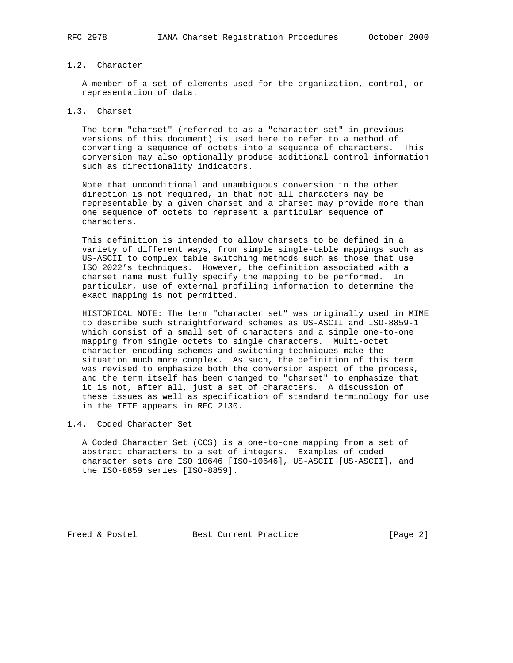# 1.2. Character

 A member of a set of elements used for the organization, control, or representation of data.

# 1.3. Charset

 The term "charset" (referred to as a "character set" in previous versions of this document) is used here to refer to a method of converting a sequence of octets into a sequence of characters. This conversion may also optionally produce additional control information such as directionality indicators.

 Note that unconditional and unambiguous conversion in the other direction is not required, in that not all characters may be representable by a given charset and a charset may provide more than one sequence of octets to represent a particular sequence of characters.

 This definition is intended to allow charsets to be defined in a variety of different ways, from simple single-table mappings such as US-ASCII to complex table switching methods such as those that use ISO 2022's techniques. However, the definition associated with a charset name must fully specify the mapping to be performed. In particular, use of external profiling information to determine the exact mapping is not permitted.

 HISTORICAL NOTE: The term "character set" was originally used in MIME to describe such straightforward schemes as US-ASCII and ISO-8859-1 which consist of a small set of characters and a simple one-to-one mapping from single octets to single characters. Multi-octet character encoding schemes and switching techniques make the situation much more complex. As such, the definition of this term was revised to emphasize both the conversion aspect of the process, and the term itself has been changed to "charset" to emphasize that it is not, after all, just a set of characters. A discussion of these issues as well as specification of standard terminology for use in the IETF appears in RFC 2130.

### 1.4. Coded Character Set

 A Coded Character Set (CCS) is a one-to-one mapping from a set of abstract characters to a set of integers. Examples of coded character sets are ISO 10646 [ISO-10646], US-ASCII [US-ASCII], and the ISO-8859 series [ISO-8859].

Freed & Postel Best Current Practice [Page 2]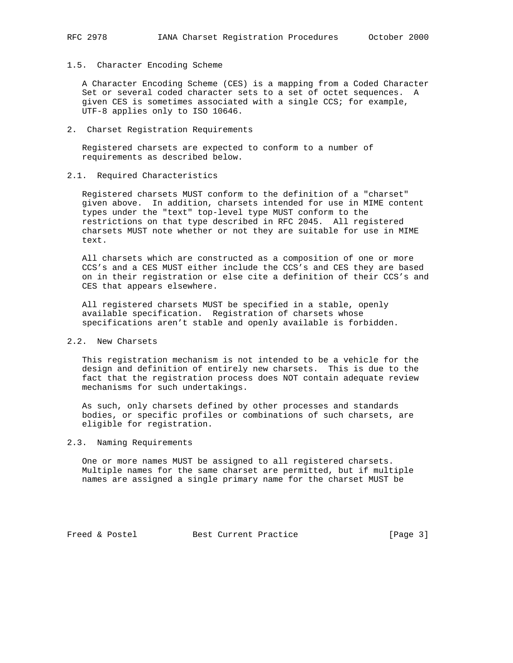### 1.5. Character Encoding Scheme

 A Character Encoding Scheme (CES) is a mapping from a Coded Character Set or several coded character sets to a set of octet sequences. A given CES is sometimes associated with a single CCS; for example, UTF-8 applies only to ISO 10646.

#### 2. Charset Registration Requirements

 Registered charsets are expected to conform to a number of requirements as described below.

## 2.1. Required Characteristics

 Registered charsets MUST conform to the definition of a "charset" given above. In addition, charsets intended for use in MIME content types under the "text" top-level type MUST conform to the restrictions on that type described in RFC 2045. All registered charsets MUST note whether or not they are suitable for use in MIME text.

 All charsets which are constructed as a composition of one or more CCS's and a CES MUST either include the CCS's and CES they are based on in their registration or else cite a definition of their CCS's and CES that appears elsewhere.

 All registered charsets MUST be specified in a stable, openly available specification. Registration of charsets whose specifications aren't stable and openly available is forbidden.

# 2.2. New Charsets

 This registration mechanism is not intended to be a vehicle for the design and definition of entirely new charsets. This is due to the fact that the registration process does NOT contain adequate review mechanisms for such undertakings.

 As such, only charsets defined by other processes and standards bodies, or specific profiles or combinations of such charsets, are eligible for registration.

### 2.3. Naming Requirements

 One or more names MUST be assigned to all registered charsets. Multiple names for the same charset are permitted, but if multiple names are assigned a single primary name for the charset MUST be

Freed & Postel Best Current Practice [Page 3]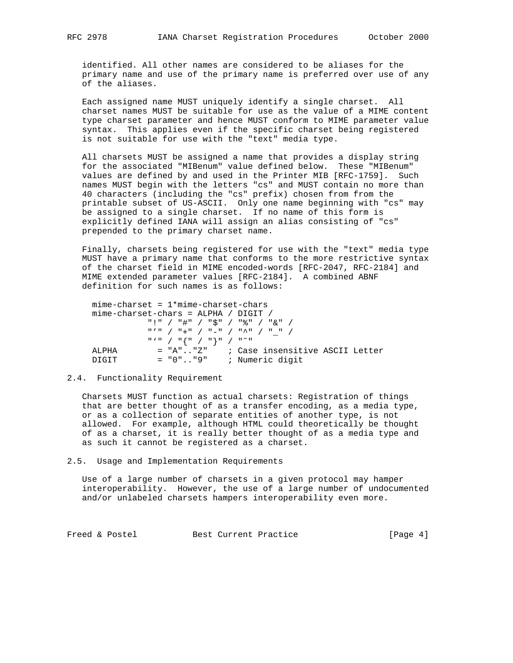identified. All other names are considered to be aliases for the primary name and use of the primary name is preferred over use of any of the aliases.

 Each assigned name MUST uniquely identify a single charset. All charset names MUST be suitable for use as the value of a MIME content type charset parameter and hence MUST conform to MIME parameter value syntax. This applies even if the specific charset being registered is not suitable for use with the "text" media type.

 All charsets MUST be assigned a name that provides a display string for the associated "MIBenum" value defined below. These "MIBenum" values are defined by and used in the Printer MIB [RFC-1759]. Such names MUST begin with the letters "cs" and MUST contain no more than 40 characters (including the "cs" prefix) chosen from from the printable subset of US-ASCII. Only one name beginning with "cs" may be assigned to a single charset. If no name of this form is explicitly defined IANA will assign an alias consisting of "cs" prepended to the primary charset name.

 Finally, charsets being registered for use with the "text" media type MUST have a primary name that conforms to the more restrictive syntax of the charset field in MIME encoded-words [RFC-2047, RFC-2184] and MIME extended parameter values [RFC-2184]. A combined ABNF definition for such names is as follows:

 $min$ e-charset =  $1*min$ e-charset-chars mime-charset-chars = ALPHA / DIGIT / "!" / "#" / "\$" / "%" / "&" / "'" / "+" / "−" / "^" / "\_" /  $\begin{array}{cc} \mathfrak{n} \times \mathfrak{n} & / & \mathfrak{n} \left\{ \mathfrak{n} & / & \mathfrak{n} \right\} \mathfrak{n} & / & \mathfrak{n} \cong \mathfrak{n} \end{array}$  ALPHA = "A".."Z" ; Case insensitive ASCII Letter DIGIT = "0".."9" ; Numeric digit

#### 2.4. Functionality Requirement

 Charsets MUST function as actual charsets: Registration of things that are better thought of as a transfer encoding, as a media type, or as a collection of separate entities of another type, is not allowed. For example, although HTML could theoretically be thought of as a charset, it is really better thought of as a media type and as such it cannot be registered as a charset.

2.5. Usage and Implementation Requirements

 Use of a large number of charsets in a given protocol may hamper interoperability. However, the use of a large number of undocumented and/or unlabeled charsets hampers interoperability even more.

Freed & Postel Best Current Practice [Page 4]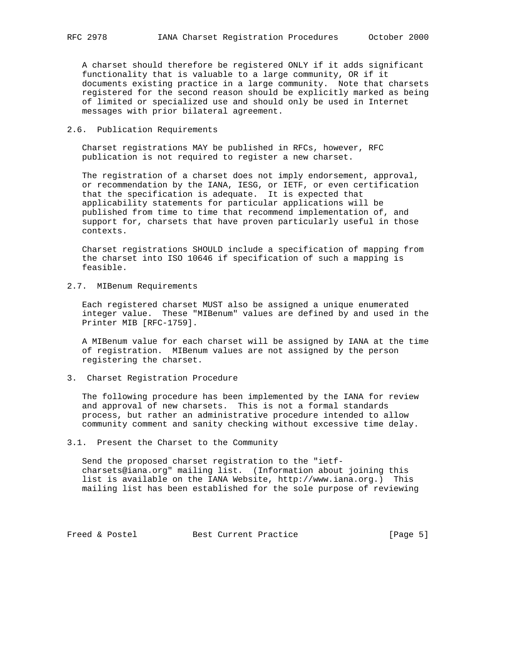A charset should therefore be registered ONLY if it adds significant functionality that is valuable to a large community, OR if it documents existing practice in a large community. Note that charsets registered for the second reason should be explicitly marked as being of limited or specialized use and should only be used in Internet messages with prior bilateral agreement.

## 2.6. Publication Requirements

 Charset registrations MAY be published in RFCs, however, RFC publication is not required to register a new charset.

 The registration of a charset does not imply endorsement, approval, or recommendation by the IANA, IESG, or IETF, or even certification that the specification is adequate. It is expected that applicability statements for particular applications will be published from time to time that recommend implementation of, and support for, charsets that have proven particularly useful in those contexts.

 Charset registrations SHOULD include a specification of mapping from the charset into ISO 10646 if specification of such a mapping is feasible.

2.7. MIBenum Requirements

 Each registered charset MUST also be assigned a unique enumerated integer value. These "MIBenum" values are defined by and used in the Printer MIB [RFC-1759].

 A MIBenum value for each charset will be assigned by IANA at the time of registration. MIBenum values are not assigned by the person registering the charset.

3. Charset Registration Procedure

 The following procedure has been implemented by the IANA for review and approval of new charsets. This is not a formal standards process, but rather an administrative procedure intended to allow community comment and sanity checking without excessive time delay.

3.1. Present the Charset to the Community

 Send the proposed charset registration to the "ietf charsets@iana.org" mailing list. (Information about joining this list is available on the IANA Website, http://www.iana.org.) This mailing list has been established for the sole purpose of reviewing

Freed & Postel Best Current Practice [Page 5]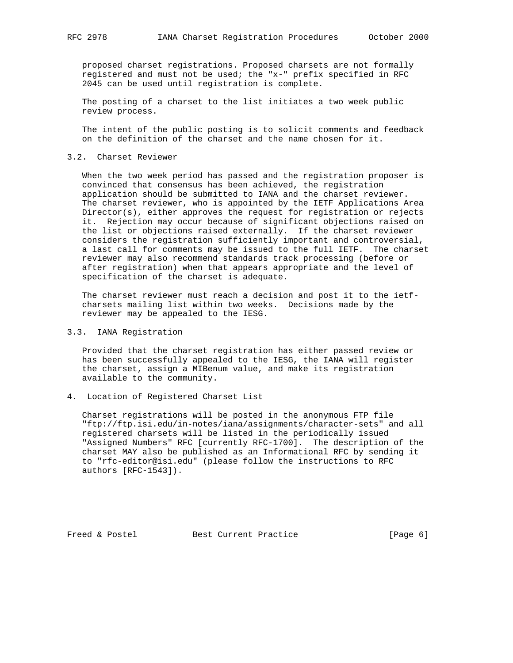proposed charset registrations. Proposed charsets are not formally registered and must not be used; the "x-" prefix specified in RFC 2045 can be used until registration is complete.

 The posting of a charset to the list initiates a two week public review process.

 The intent of the public posting is to solicit comments and feedback on the definition of the charset and the name chosen for it.

#### 3.2. Charset Reviewer

 When the two week period has passed and the registration proposer is convinced that consensus has been achieved, the registration application should be submitted to IANA and the charset reviewer. The charset reviewer, who is appointed by the IETF Applications Area Director(s), either approves the request for registration or rejects it. Rejection may occur because of significant objections raised on the list or objections raised externally. If the charset reviewer considers the registration sufficiently important and controversial, a last call for comments may be issued to the full IETF. The charset reviewer may also recommend standards track processing (before or after registration) when that appears appropriate and the level of specification of the charset is adequate.

 The charset reviewer must reach a decision and post it to the ietf charsets mailing list within two weeks. Decisions made by the reviewer may be appealed to the IESG.

# 3.3. IANA Registration

 Provided that the charset registration has either passed review or has been successfully appealed to the IESG, the IANA will register the charset, assign a MIBenum value, and make its registration available to the community.

## 4. Location of Registered Charset List

 Charset registrations will be posted in the anonymous FTP file "ftp://ftp.isi.edu/in-notes/iana/assignments/character-sets" and all registered charsets will be listed in the periodically issued "Assigned Numbers" RFC [currently RFC-1700]. The description of the charset MAY also be published as an Informational RFC by sending it to "rfc-editor@isi.edu" (please follow the instructions to RFC authors [RFC-1543]).

Freed & Postel Best Current Practice [Page 6]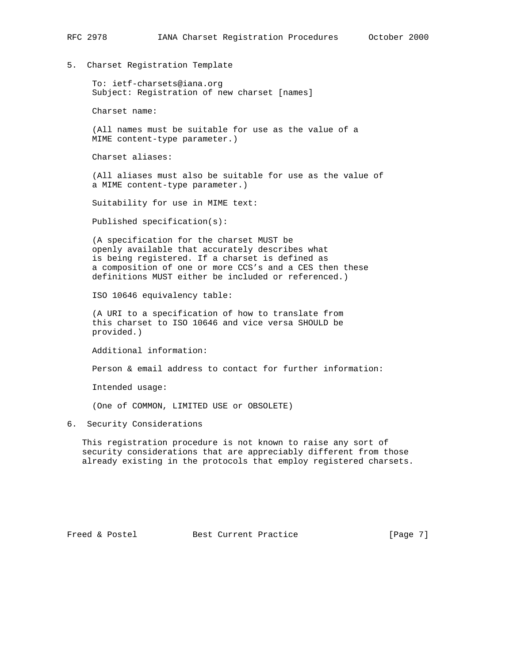5. Charset Registration Template

 To: ietf-charsets@iana.org Subject: Registration of new charset [names]

Charset name:

 (All names must be suitable for use as the value of a MIME content-type parameter.)

Charset aliases:

 (All aliases must also be suitable for use as the value of a MIME content-type parameter.)

Suitability for use in MIME text:

Published specification(s):

 (A specification for the charset MUST be openly available that accurately describes what is being registered. If a charset is defined as a composition of one or more CCS's and a CES then these definitions MUST either be included or referenced.)

ISO 10646 equivalency table:

 (A URI to a specification of how to translate from this charset to ISO 10646 and vice versa SHOULD be provided.)

Additional information:

Person & email address to contact for further information:

Intended usage:

(One of COMMON, LIMITED USE or OBSOLETE)

6. Security Considerations

 This registration procedure is not known to raise any sort of security considerations that are appreciably different from those already existing in the protocols that employ registered charsets.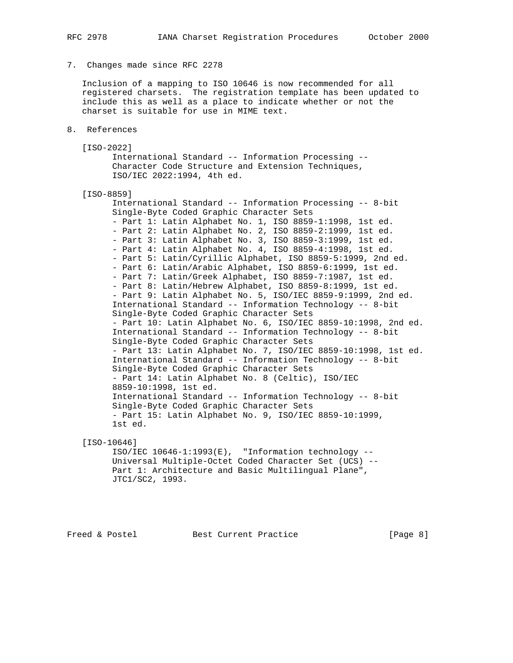### 7. Changes made since RFC 2278

 Inclusion of a mapping to ISO 10646 is now recommended for all registered charsets. The registration template has been updated to include this as well as a place to indicate whether or not the charset is suitable for use in MIME text.

8. References

```
 [ISO-2022]
```
 International Standard -- Information Processing -- Character Code Structure and Extension Techniques, ISO/IEC 2022:1994, 4th ed.

```
 [ISO-8859]
```
 International Standard -- Information Processing -- 8-bit Single-Byte Coded Graphic Character Sets - Part 1: Latin Alphabet No. 1, ISO 8859-1:1998, 1st ed. - Part 2: Latin Alphabet No. 2, ISO 8859-2:1999, 1st ed. - Part 3: Latin Alphabet No. 3, ISO 8859-3:1999, 1st ed. - Part 4: Latin Alphabet No. 4, ISO 8859-4:1998, 1st ed. - Part 5: Latin/Cyrillic Alphabet, ISO 8859-5:1999, 2nd ed. - Part 6: Latin/Arabic Alphabet, ISO 8859-6:1999, 1st ed. - Part 7: Latin/Greek Alphabet, ISO 8859-7:1987, 1st ed. - Part 8: Latin/Hebrew Alphabet, ISO 8859-8:1999, 1st ed. - Part 9: Latin Alphabet No. 5, ISO/IEC 8859-9:1999, 2nd ed. International Standard -- Information Technology -- 8-bit Single-Byte Coded Graphic Character Sets - Part 10: Latin Alphabet No. 6, ISO/IEC 8859-10:1998, 2nd ed. International Standard -- Information Technology -- 8-bit Single-Byte Coded Graphic Character Sets - Part 13: Latin Alphabet No. 7, ISO/IEC 8859-10:1998, 1st ed. International Standard -- Information Technology -- 8-bit Single-Byte Coded Graphic Character Sets - Part 14: Latin Alphabet No. 8 (Celtic), ISO/IEC 8859-10:1998, 1st ed. International Standard -- Information Technology -- 8-bit Single-Byte Coded Graphic Character Sets - Part 15: Latin Alphabet No. 9, ISO/IEC 8859-10:1999, 1st ed.

[ISO-10646]

 ISO/IEC 10646-1:1993(E), "Information technology -- Universal Multiple-Octet Coded Character Set (UCS) -- Part 1: Architecture and Basic Multilingual Plane", JTC1/SC2, 1993.

Freed & Postel Best Current Practice [Page 8]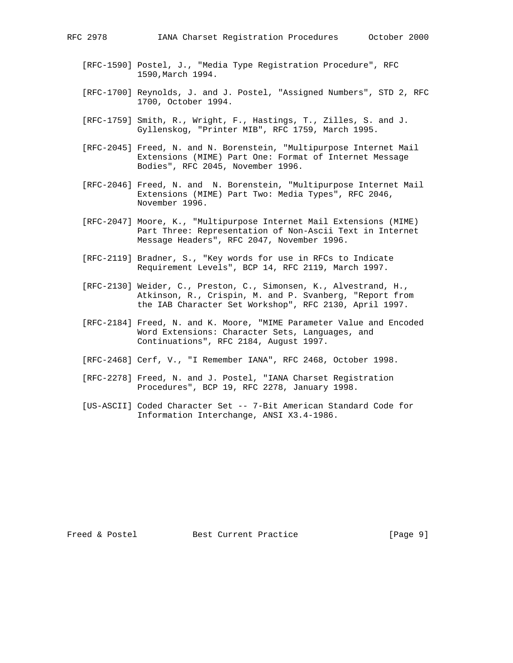- [RFC-1590] Postel, J., "Media Type Registration Procedure", RFC 1590,March 1994.
- [RFC-1700] Reynolds, J. and J. Postel, "Assigned Numbers", STD 2, RFC 1700, October 1994.
- [RFC-1759] Smith, R., Wright, F., Hastings, T., Zilles, S. and J. Gyllenskog, "Printer MIB", RFC 1759, March 1995.
- [RFC-2045] Freed, N. and N. Borenstein, "Multipurpose Internet Mail Extensions (MIME) Part One: Format of Internet Message Bodies", RFC 2045, November 1996.
- [RFC-2046] Freed, N. and N. Borenstein, "Multipurpose Internet Mail Extensions (MIME) Part Two: Media Types", RFC 2046, November 1996.
- [RFC-2047] Moore, K., "Multipurpose Internet Mail Extensions (MIME) Part Three: Representation of Non-Ascii Text in Internet Message Headers", RFC 2047, November 1996.
- [RFC-2119] Bradner, S., "Key words for use in RFCs to Indicate Requirement Levels", BCP 14, RFC 2119, March 1997.
- [RFC-2130] Weider, C., Preston, C., Simonsen, K., Alvestrand, H., Atkinson, R., Crispin, M. and P. Svanberg, "Report from the IAB Character Set Workshop", RFC 2130, April 1997.
- [RFC-2184] Freed, N. and K. Moore, "MIME Parameter Value and Encoded Word Extensions: Character Sets, Languages, and Continuations", RFC 2184, August 1997.
- [RFC-2468] Cerf, V., "I Remember IANA", RFC 2468, October 1998.
- [RFC-2278] Freed, N. and J. Postel, "IANA Charset Registration Procedures", BCP 19, RFC 2278, January 1998.
- [US-ASCII] Coded Character Set -- 7-Bit American Standard Code for Information Interchange, ANSI X3.4-1986.

Freed & Postel Best Current Practice [Page 9]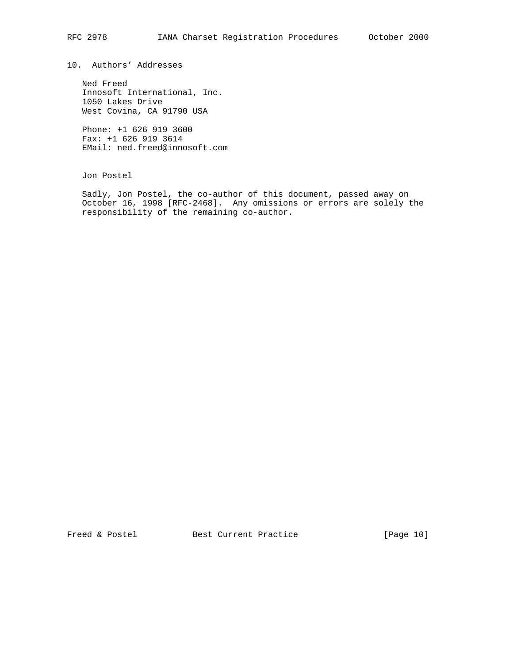10. Authors' Addresses

 Ned Freed Innosoft International, Inc. 1050 Lakes Drive West Covina, CA 91790 USA

 Phone: +1 626 919 3600 Fax: +1 626 919 3614 EMail: ned.freed@innosoft.com

Jon Postel

 Sadly, Jon Postel, the co-author of this document, passed away on October 16, 1998 [RFC-2468]. Any omissions or errors are solely the responsibility of the remaining co-author.

Freed & Postel Best Current Practice [Page 10]